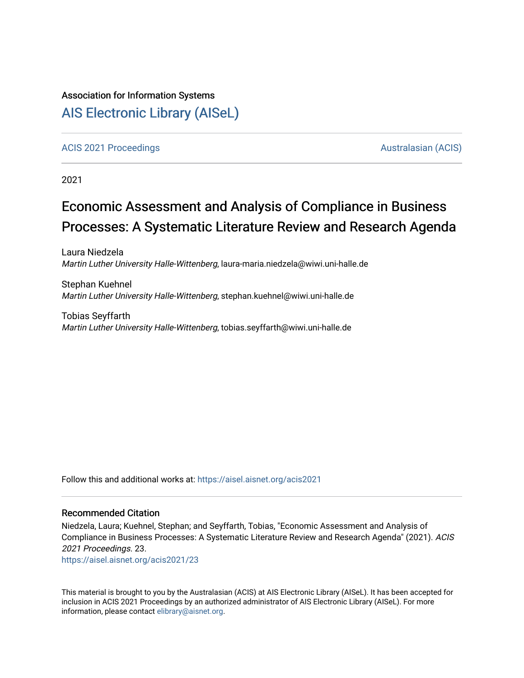### Association for Information Systems

## [AIS Electronic Library \(AISeL\)](https://aisel.aisnet.org/)

#### [ACIS 2021 Proceedings](https://aisel.aisnet.org/acis2021) [Australasian \(ACIS\)](https://aisel.aisnet.org/acis) Australasian (ACIS)

2021

# Economic Assessment and Analysis of Compliance in Business Processes: A Systematic Literature Review and Research Agenda

Laura Niedzela Martin Luther University Halle-Wittenberg, laura-maria.niedzela@wiwi.uni-halle.de

Stephan Kuehnel Martin Luther University Halle-Wittenberg, stephan.kuehnel@wiwi.uni-halle.de

Tobias Seyffarth Martin Luther University Halle-Wittenberg, tobias.seyffarth@wiwi.uni-halle.de

Follow this and additional works at: [https://aisel.aisnet.org/acis2021](https://aisel.aisnet.org/acis2021?utm_source=aisel.aisnet.org%2Facis2021%2F23&utm_medium=PDF&utm_campaign=PDFCoverPages) 

#### Recommended Citation

Niedzela, Laura; Kuehnel, Stephan; and Seyffarth, Tobias, "Economic Assessment and Analysis of Compliance in Business Processes: A Systematic Literature Review and Research Agenda" (2021). ACIS 2021 Proceedings. 23.

[https://aisel.aisnet.org/acis2021/23](https://aisel.aisnet.org/acis2021/23?utm_source=aisel.aisnet.org%2Facis2021%2F23&utm_medium=PDF&utm_campaign=PDFCoverPages)

This material is brought to you by the Australasian (ACIS) at AIS Electronic Library (AISeL). It has been accepted for inclusion in ACIS 2021 Proceedings by an authorized administrator of AIS Electronic Library (AISeL). For more information, please contact [elibrary@aisnet.org.](mailto:elibrary@aisnet.org%3E)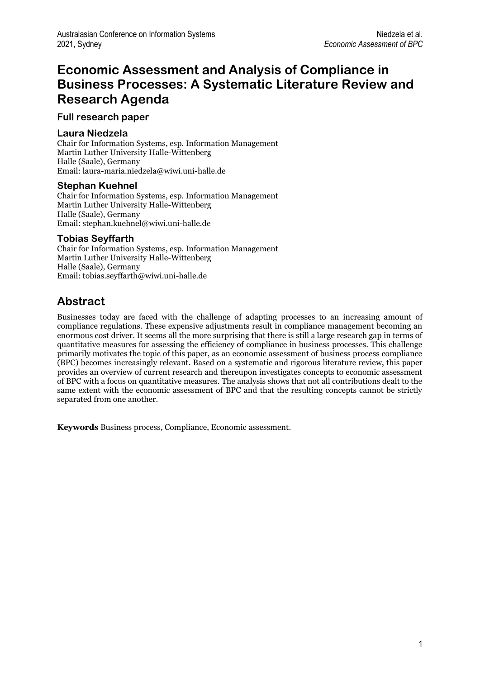## **Economic Assessment and Analysis of Compliance in Business Processes: A Systematic Literature Review and Research Agenda**

#### **Full research paper**

#### **Laura Niedzela**

Chair for Information Systems, esp. Information Management Martin Luther University Halle-Wittenberg Halle (Saale), Germany Email: laura-maria.niedzela@wiwi.uni-halle.de

#### **Stephan Kuehnel**

Chair for Information Systems, esp. Information Management Martin Luther University Halle-Wittenberg Halle (Saale), Germany Email: stephan.kuehnel@wiwi.uni-halle.de

#### **Tobias Seyffarth**

Chair for Information Systems, esp. Information Management Martin Luther University Halle-Wittenberg Halle (Saale), Germany Email: tobias.seyffarth@wiwi.uni-halle.de

## **Abstract**

Businesses today are faced with the challenge of adapting processes to an increasing amount of compliance regulations. These expensive adjustments result in compliance management becoming an enormous cost driver. It seems all the more surprising that there is still a large research gap in terms of quantitative measures for assessing the efficiency of compliance in business processes. This challenge primarily motivates the topic of this paper, as an economic assessment of business process compliance (BPC) becomes increasingly relevant. Based on a systematic and rigorous literature review, this paper provides an overview of current research and thereupon investigates concepts to economic assessment of BPC with a focus on quantitative measures. The analysis shows that not all contributions dealt to the same extent with the economic assessment of BPC and that the resulting concepts cannot be strictly separated from one another.

**Keywords** Business process, Compliance, Economic assessment.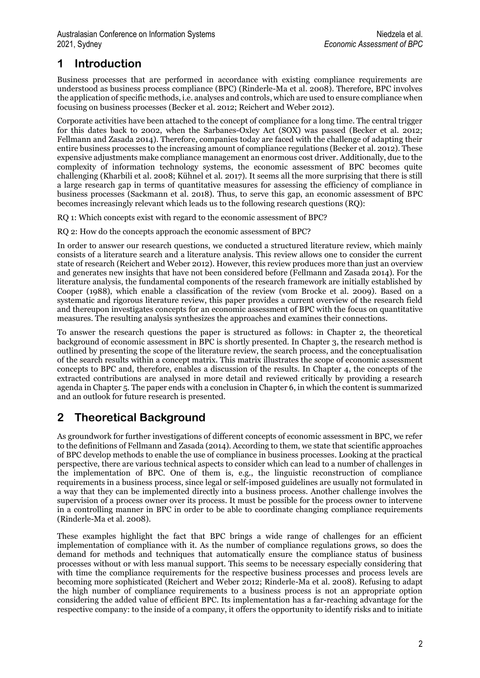## **1 Introduction**

Business processes that are performed in accordance with existing compliance requirements are understood as business process compliance (BPC) (Rinderle-Ma et al. 2008). Therefore, BPC involves the application of specific methods, i.e. analyses and controls, which are used to ensure compliance when focusing on business processes (Becker et al. 2012; Reichert and Weber 2012).

Corporate activities have been attached to the concept of compliance for a long time. The central trigger for this dates back to 2002, when the Sarbanes-Oxley Act (SOX) was passed (Becker et al. 2012; Fellmann and Zasada 2014). Therefore, companies today are faced with the challenge of adapting their entire business processes to the increasing amount of compliance regulations (Becker et al. 2012). These expensive adjustments make compliance management an enormous cost driver. Additionally, due to the complexity of information technology systems, the economic assessment of BPC becomes quite challenging (Kharbili et al. 2008; Kühnel et al. 2017). It seems all the more surprising that there is still a large research gap in terms of quantitative measures for assessing the efficiency of compliance in business processes (Sackmann et al. 2018). Thus, to serve this gap, an economic assessment of BPC becomes increasingly relevant which leads us to the following research questions (RQ):

RQ 1: Which concepts exist with regard to the economic assessment of BPC?

RQ 2: How do the concepts approach the economic assessment of BPC?

In order to answer our research questions, we conducted a structured literature review, which mainly consists of a literature search and a literature analysis. This review allows one to consider the current state of research (Reichert and Weber 2012). However, this review produces more than just an overview and generates new insights that have not been considered before (Fellmann and Zasada 2014). For the literature analysis, the fundamental components of the research framework are initially established by Cooper (1988), which enable a classification of the review (vom Brocke et al. 2009). Based on a systematic and rigorous literature review, this paper provides a current overview of the research field and thereupon investigates concepts for an economic assessment of BPC with the focus on quantitative measures. The resulting analysis synthesizes the approaches and examines their connections.

To answer the research questions the paper is structured as follows: in Chapter 2, the theoretical background of economic assessment in BPC is shortly presented. In Chapter 3, the research method is outlined by presenting the scope of the literature review, the search process, and the conceptualisation of the search results within a concept matrix. This matrix illustrates the scope of economic assessment concepts to BPC and, therefore, enables a discussion of the results. In Chapter 4, the concepts of the extracted contributions are analysed in more detail and reviewed critically by providing a research agenda in Chapter 5. The paper ends with a conclusion in Chapter 6, in which the content is summarized and an outlook for future research is presented.

## **2 Theoretical Background**

As groundwork for further investigations of different concepts of economic assessment in BPC, we refer to the definitions of Fellmann and Zasada (2014). According to them, we state that scientific approaches of BPC develop methods to enable the use of compliance in business processes. Looking at the practical perspective, there are various technical aspects to consider which can lead to a number of challenges in the implementation of BPC. One of them is, e.g., the linguistic reconstruction of compliance requirements in a business process, since legal or self-imposed guidelines are usually not formulated in a way that they can be implemented directly into a business process. Another challenge involves the supervision of a process owner over its process. It must be possible for the process owner to intervene in a controlling manner in BPC in order to be able to coordinate changing compliance requirements (Rinderle-Ma et al. 2008).

These examples highlight the fact that BPC brings a wide range of challenges for an efficient implementation of compliance with it. As the number of compliance regulations grows, so does the demand for methods and techniques that automatically ensure the compliance status of business processes without or with less manual support. This seems to be necessary especially considering that with time the compliance requirements for the respective business processes and process levels are becoming more sophisticated (Reichert and Weber 2012; Rinderle-Ma et al. 2008). Refusing to adapt the high number of compliance requirements to a business process is not an appropriate option considering the added value of efficient BPC. Its implementation has a far-reaching advantage for the respective company: to the inside of a company, it offers the opportunity to identify risks and to initiate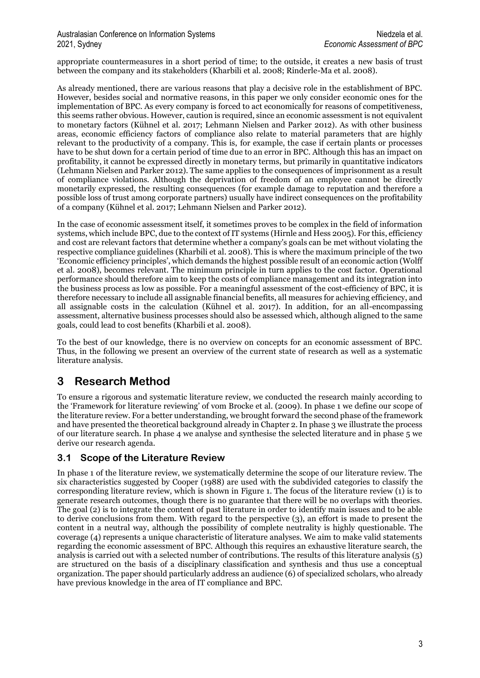#### Australasian Conference on Information Systems Niedzela et al. Niedzela et al. 2021, Sydney *Economic Assessment of BPC*

appropriate countermeasures in a short period of time; to the outside, it creates a new basis of trust between the company and its stakeholders (Kharbili et al. 2008; Rinderle-Ma et al. 2008).

As already mentioned, there are various reasons that play a decisive role in the establishment of BPC. However, besides social and normative reasons, in this paper we only consider economic ones for the implementation of BPC. As every company is forced to act economically for reasons of competitiveness, this seems rather obvious. However, caution is required, since an economic assessment is not equivalent to monetary factors (Kühnel et al. 2017; Lehmann Nielsen and Parker 2012). As with other business areas, economic efficiency factors of compliance also relate to material parameters that are highly relevant to the productivity of a company. This is, for example, the case if certain plants or processes have to be shut down for a certain period of time due to an error in BPC. Although this has an impact on profitability, it cannot be expressed directly in monetary terms, but primarily in quantitative indicators (Lehmann Nielsen and Parker 2012). The same applies to the consequences of imprisonment as a result of compliance violations. Although the deprivation of freedom of an employee cannot be directly monetarily expressed, the resulting consequences (for example damage to reputation and therefore a possible loss of trust among corporate partners) usually have indirect consequences on the profitability of a company (Kühnel et al. 2017; Lehmann Nielsen and Parker 2012).

In the case of economic assessment itself, it sometimes proves to be complex in the field of information systems, which include BPC, due to the context of IT systems (Hirnle and Hess 2005). For this, efficiency and cost are relevant factors that determine whether a company's goals can be met without violating the respective compliance guidelines (Kharbili et al. 2008). This is where the maximum principle of the two 'Economic efficiency principles', which demands the highest possible result of an economic action (Wolff et al. 2008), becomes relevant. The minimum principle in turn applies to the cost factor. Operational performance should therefore aim to keep the costs of compliance management and its integration into the business process as low as possible. For a meaningful assessment of the cost-efficiency of BPC, it is therefore necessary to include all assignable financial benefits, all measures for achieving efficiency, and all assignable costs in the calculation (Kühnel et al. 2017). In addition, for an all-encompassing assessment, alternative business processes should also be assessed which, although aligned to the same goals, could lead to cost benefits (Kharbili et al. 2008).

To the best of our knowledge, there is no overview on concepts for an economic assessment of BPC. Thus, in the following we present an overview of the current state of research as well as a systematic literature analysis.

## **3 Research Method**

To ensure a rigorous and systematic literature review, we conducted the research mainly according to the 'Framework for literature reviewing' of vom Brocke et al. (2009). In phase 1 we define our scope of the literature review. For a better understanding, we brought forward the second phase of the framework and have presented the theoretical background already in Chapter 2. In phase 3 we illustrate the process of our literature search. In phase 4 we analyse and synthesise the selected literature and in phase 5 we derive our research agenda.

### **3.1 Scope of the Literature Review**

In phase 1 of the literature review, we systematically determine the scope of our literature review. The six characteristics suggested by Cooper (1988) are used with the subdivided categories to classify the corresponding literature review, which is shown in Figure 1. The focus of the literature review (1) is to generate research outcomes, though there is no guarantee that there will be no overlaps with theories. The goal (2) is to integrate the content of past literature in order to identify main issues and to be able to derive conclusions from them. With regard to the perspective (3), an effort is made to present the content in a neutral way, although the possibility of complete neutrality is highly questionable. The coverage (4) represents a unique characteristic of literature analyses. We aim to make valid statements regarding the economic assessment of BPC. Although this requires an exhaustive literature search, the analysis is carried out with a selected number of contributions. The results of this literature analysis (5) are structured on the basis of a disciplinary classification and synthesis and thus use a conceptual organization. The paper should particularly address an audience (6) of specialized scholars, who already have previous knowledge in the area of IT compliance and BPC.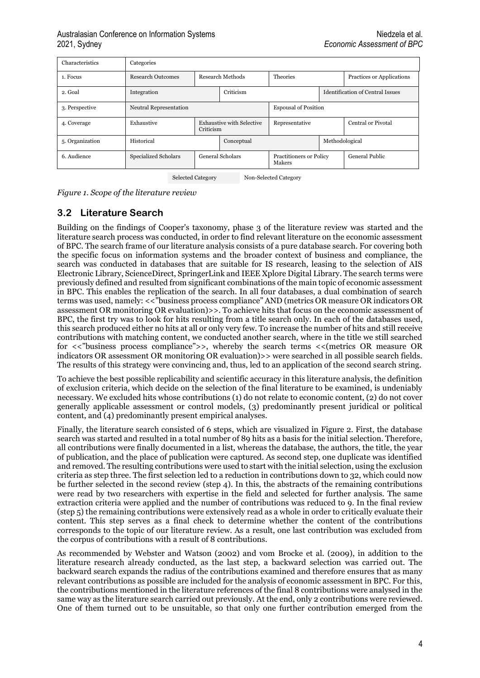| Characteristics | Categories                  |           |                           |                                   |                                         |                           |  |  |
|-----------------|-----------------------------|-----------|---------------------------|-----------------------------------|-----------------------------------------|---------------------------|--|--|
| 1. Focus        | <b>Research Outcomes</b>    |           | Research Methods          | <b>Theories</b>                   |                                         | Practices or Applications |  |  |
| 2. Goal         | Integration                 |           | Criticism                 |                                   | <b>Identification of Central Issues</b> |                           |  |  |
| 3. Perspective  | Neutral Representation      |           |                           | <b>Espousal of Position</b>       |                                         |                           |  |  |
| 4. Coverage     | Exhaustive                  | Criticism | Exhaustive with Selective | Representative                    | Central or Pivotal                      |                           |  |  |
| 5. Organization | Historical                  |           | Conceptual                |                                   | Methodological                          |                           |  |  |
| 6. Audience     | <b>Specialized Scholars</b> |           | General Scholars          | Practitioners or Policy<br>Makers |                                         | General Public            |  |  |

Selected Category Non-Selected Category

*Figure 1. Scope of the literature review*

### **3.2 Literature Search**

Building on the findings of Cooper's taxonomy, phase 3 of the literature review was started and the literature search process was conducted, in order to find relevant literature on the economic assessment of BPC. The search frame of our literature analysis consists of a pure database search. For covering both the specific focus on information systems and the broader context of business and compliance, the search was conducted in databases that are suitable for IS research, leasing to the selection of AIS Electronic Library, ScienceDirect, SpringerLink and IEEE Xplore Digital Library. The search terms were previously defined and resulted from significant combinations of the main topic of economic assessment in BPC. This enables the replication of the search. In all four databases, a dual combination of search terms was used, namely: <<"business process compliance" AND (metrics OR measure OR indicators OR assessment OR monitoring OR evaluation)>>. To achieve hits that focus on the economic assessment of BPC, the first try was to look for hits resulting from a title search only. In each of the databases used, this search produced either no hits at all or only very few. To increase the number of hits and still receive contributions with matching content, we conducted another search, where in the title we still searched for <<"business process compliance">>, whereby the search terms <<(metrics OR measure OR indicators OR assessment OR monitoring OR evaluation)>> were searched in all possible search fields. The results of this strategy were convincing and, thus, led to an application of the second search string.

To achieve the best possible replicability and scientific accuracy in this literature analysis, the definition of exclusion criteria, which decide on the selection of the final literature to be examined, is undeniably necessary. We excluded hits whose contributions (1) do not relate to economic content, (2) do not cover generally applicable assessment or control models, (3) predominantly present juridical or political content, and (4) predominantly present empirical analyses.

Finally, the literature search consisted of 6 steps, which are visualized in Figure 2. First, the database search was started and resulted in a total number of 89 hits as a basis for the initial selection. Therefore, all contributions were finally documented in a list, whereas the database, the authors, the title, the year of publication, and the place of publication were captured. As second step, one duplicate was identified and removed. The resulting contributions were used to start with the initial selection, using the exclusion criteria as step three. The first selection led to a reduction in contributions down to 32, which could now be further selected in the second review (step 4). In this, the abstracts of the remaining contributions were read by two researchers with expertise in the field and selected for further analysis. The same extraction criteria were applied and the number of contributions was reduced to 9. In the final review (step 5) the remaining contributions were extensively read as a whole in order to critically evaluate their content. This step serves as a final check to determine whether the content of the contributions corresponds to the topic of our literature review. As a result, one last contribution was excluded from the corpus of contributions with a result of 8 contributions.

As recommended by Webster and Watson (2002) and vom Brocke et al. (2009), in addition to the literature research already conducted, as the last step, a backward selection was carried out. The backward search expands the radius of the contributions examined and therefore ensures that as many relevant contributions as possible are included for the analysis of economic assessment in BPC. For this, the contributions mentioned in the literature references of the final 8 contributions were analysed in the same way as the literature search carried out previously. At the end, only 2 contributions were reviewed. One of them turned out to be unsuitable, so that only one further contribution emerged from the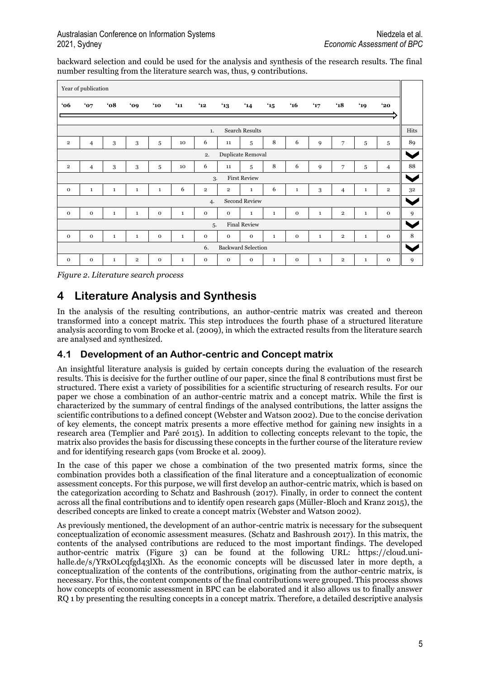backward selection and could be used for the analysis and synthesis of the research results. The final number resulting from the literature search was, thus, 9 contributions.

|                                 | Year of publication |               |                |               |              |                         |                |                      |              |              |              |                         |              |                |
|---------------------------------|---------------------|---------------|----------------|---------------|--------------|-------------------------|----------------|----------------------|--------------|--------------|--------------|-------------------------|--------------|----------------|
| 66'                             | '07                 | $^{\circ}$ 08 | '09            | $^{\prime}10$ | $^{\circ}11$ | $^4$ 12                 | $^4$ 13        | $^{\prime}14$        | $^{\circ}15$ | $^{\circ}16$ | 47           | $^{\prime}18$           | '19          | $^{\circ}$ 20  |
|                                 |                     |               |                |               |              |                         |                |                      |              |              |              |                         |              |                |
| <b>Search Results</b><br>1.     |                     |               |                |               |              |                         |                |                      |              |              |              |                         |              |                |
| $\overline{2}$                  | $\overline{4}$      | 3             | 3              | 5             | 10           | 6                       | 11             | 5                    | 8            | 6            | 9            | 7                       | 5            | 5              |
| Duplicate Removal<br>2.         |                     |               |                |               |              |                         |                |                      |              |              |              |                         |              |                |
| $\overline{\mathbf{2}}$         | $\overline{4}$      | 3             | 3              | 5             | 10           | 6                       | 11             | 5                    | 8            | 6            | 9            | 7                       | 5            | $\overline{4}$ |
|                                 |                     |               |                |               |              | 3.                      |                | <b>First Review</b>  |              |              |              |                         |              |                |
| $\Omega$                        | $\mathbf{1}$        | $\mathbf{1}$  | $\mathbf{1}$   | $\mathbf{1}$  | 6            | $\overline{\mathbf{2}}$ | $\overline{2}$ | $\mathbf{1}$         | 6            | $\mathbf{1}$ | 3            | $\overline{4}$          | $\mathbf{1}$ | $\overline{2}$ |
|                                 |                     |               |                |               |              | 4.                      |                | <b>Second Review</b> |              |              |              |                         |              |                |
| $\mathbf 0$                     | $\mathbf{o}$        | $\mathbf{1}$  | $\mathbf{1}$   | $\mathbf{o}$  | $\mathbf{1}$ | $\mathbf 0$             | $\mathbf{o}$   | $\mathbf{1}$         | $\mathbf{1}$ | $\mathbf 0$  | $\mathbf{1}$ | $\overline{2}$          | $\mathbf{1}$ | $\mathbf{o}$   |
| <b>Final Review</b><br>5.       |                     |               |                |               |              |                         |                |                      |              |              |              |                         |              |                |
| $\mathbf{O}$                    | $\mathbf{o}$        | $\mathbf{1}$  | $\mathbf{1}$   | $\mathbf{O}$  | $\mathbf{1}$ | $\mathbf 0$             | $\mathbf{o}$   | $\mathbf 0$          | $\mathbf{1}$ | $\mathbf 0$  | $\mathbf{1}$ | $\overline{\mathbf{2}}$ | $\mathbf{1}$ | $\mathbf{o}$   |
| <b>Backward Selection</b><br>6. |                     |               |                |               |              |                         |                |                      |              |              |              |                         |              |                |
| $\Omega$                        | $\mathbf{O}$        | $\mathbf{1}$  | $\overline{2}$ | $\mathbf{O}$  | $\mathbf{1}$ | $\mathbf{O}$            | $\mathbf{o}$   | $\mathbf{O}$         | $\mathbf{1}$ | $\mathbf{O}$ | $\mathbf{1}$ | $\overline{\mathbf{2}}$ | $\mathbf{1}$ | $\mathbf{o}$   |

*Figure 2. Literature search process*

### **4 Literature Analysis and Synthesis**

In the analysis of the resulting contributions, an author-centric matrix was created and thereon transformed into a concept matrix. This step introduces the fourth phase of a structured literature analysis according to vom Brocke et al. (2009), in which the extracted results from the literature search are analysed and synthesized.

### **4.1 Development of an Author-centric and Concept matrix**

An insightful literature analysis is guided by certain concepts during the evaluation of the research results. This is decisive for the further outline of our paper, since the final 8 contributions must first be structured. There exist a variety of possibilities for a scientific structuring of research results. For our paper we chose a combination of an author-centric matrix and a concept matrix. While the first is characterized by the summary of central findings of the analysed contributions, the latter assigns the scientific contributions to a defined concept (Webster and Watson 2002). Due to the concise derivation of key elements, the concept matrix presents a more effective method for gaining new insights in a research area (Templier and Paré 2015). In addition to collecting concepts relevant to the topic, the matrix also provides the basis for discussing these concepts in the further course of the literature review and for identifying research gaps (vom Brocke et al. 2009).

In the case of this paper we chose a combination of the two presented matrix forms, since the combination provides both a classification of the final literature and a conceptualization of economic assessment concepts. For this purpose, we will first develop an author-centric matrix, which is based on the categorization according to Schatz and Bashroush (2017). Finally, in order to connect the content across all the final contributions and to identify open research gaps (Müller-Bloch and Kranz 2015), the described concepts are linked to create a concept matrix (Webster and Watson 2002).

As previously mentioned, the development of an author-centric matrix is necessary for the subsequent conceptualization of economic assessment measures. (Schatz and Bashroush 2017). In this matrix, the contents of the analysed contributions are reduced to the most important findings. The developed author-centric matrix (Figure 3) can be found at the following URL: [https://cloud.uni](https://cloud.uni-halle.de/s/YRxOLcqfgd43lXh)[halle.de/s/YRxOLcqfgd43lXh.](https://cloud.uni-halle.de/s/YRxOLcqfgd43lXh) As the economic concepts will be discussed later in more depth, a conceptualization of the contents of the contributions, originating from the author-centric matrix, is necessary. For this, the content components of the final contributions were grouped. This process shows how concepts of economic assessment in BPC can be elaborated and it also allows us to finally answer RQ 1 by presenting the resulting concepts in a concept matrix. Therefore, a detailed descriptive analysis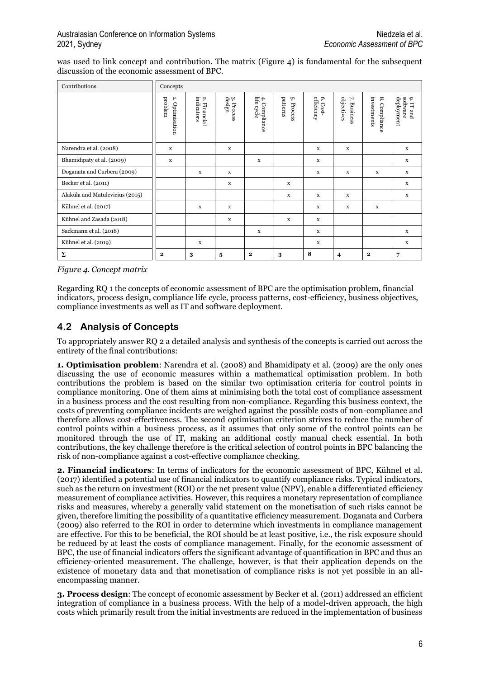was used to link concept and contribution. The matrix (Figure 4) is fundamental for the subsequent discussion of the economic assessment of BPC.

| Contributions                   | Concepts                      |                                      |                               |                                  |                           |                           |                                     |                                       |                                                 |  |
|---------------------------------|-------------------------------|--------------------------------------|-------------------------------|----------------------------------|---------------------------|---------------------------|-------------------------------------|---------------------------------------|-------------------------------------------------|--|
|                                 | problem<br>۳.<br>Optimisation | indicators<br>Ņ,<br><b>Financial</b> | $3.\,\mathrm{Process}$ design | $4.$ Compile cycle<br>Compliance | patterns<br>Ċ٦<br>Process | efficiency<br>ó.<br>Cost- | objectives<br>71<br><b>Business</b> | investments<br>$\infty$<br>Compliance | 9. I1 anu<br>software<br>deployment<br>. IT and |  |
| Narendra et al. (2008)          | $\mathbf x$                   |                                      | X                             |                                  |                           | X                         | $\mathbf x$                         |                                       | X                                               |  |
| Bhamidipaty et al. (2009)       | $\mathbf x$                   |                                      |                               | X                                |                           | $\mathbf x$               |                                     |                                       | $\mathbf x$                                     |  |
| Doganata and Curbera (2009)     |                               | $\mathbf x$                          | $\mathbf x$                   |                                  |                           | X                         | $\mathbf X$                         | $\mathbf X$                           | $\mathbf X$                                     |  |
| Becker et al. (2011)            |                               |                                      | X                             |                                  | X                         |                           |                                     |                                       | $\mathbf x$                                     |  |
| Alaküla and Matulevicius (2015) |                               |                                      |                               |                                  | X                         | X                         | X                                   |                                       | X                                               |  |
| Kühnel et al. (2017)            |                               | $\mathbf x$                          | X                             |                                  |                           | $\mathbf x$               | $\mathbf x$                         | $\mathbf x$                           |                                                 |  |
| Kühnel and Zasada (2018)        |                               |                                      | X                             |                                  | X                         | X                         |                                     |                                       |                                                 |  |
| Sackmann et al. (2018)          |                               |                                      |                               | X                                |                           | X                         |                                     |                                       | $\mathbf x$                                     |  |
| Kühnel et al. (2019)            |                               | $\mathbf x$                          |                               |                                  |                           | $\mathbf x$               |                                     |                                       | x                                               |  |
| Σ                               | $\mathbf{2}$                  | 3                                    | 5                             | $\mathbf 2$                      | 3                         | 8                         | $\overline{4}$                      | $\mathbf{2}$                          | 7                                               |  |

*Figure 4. Concept matrix*

Regarding RQ 1 the concepts of economic assessment of BPC are the optimisation problem, financial indicators, process design, compliance life cycle, process patterns, cost-efficiency, business objectives, compliance investments as well as IT and software deployment.

### **4.2 Analysis of Concepts**

To appropriately answer RQ 2 a detailed analysis and synthesis of the concepts is carried out across the entirety of the final contributions:

**1. Optimisation problem**: Narendra et al. (2008) and Bhamidipaty et al. (2009) are the only ones discussing the use of economic measures within a mathematical optimisation problem. In both contributions the problem is based on the similar two optimisation criteria for control points in compliance monitoring. One of them aims at minimising both the total cost of compliance assessment in a business process and the cost resulting from non-compliance. Regarding this business context, the costs of preventing compliance incidents are weighed against the possible costs of non-compliance and therefore allows cost-effectiveness. The second optimisation criterion strives to reduce the number of control points within a business process, as it assumes that only some of the control points can be monitored through the use of IT, making an additional costly manual check essential. In both contributions, the key challenge therefore is the critical selection of control points in BPC balancing the risk of non-compliance against a cost-effective compliance checking.

**2. Financial indicators**: In terms of indicators for the economic assessment of BPC, Kühnel et al. (2017) identified a potential use of financial indicators to quantify compliance risks. Typical indicators, such as the return on investment (ROI) or the net present value (NPV), enable a differentiated efficiency measurement of compliance activities. However, this requires a monetary representation of compliance risks and measures, whereby a generally valid statement on the monetisation of such risks cannot be given, therefore limiting the possibility of a quantitative efficiency measurement. Doganata and Curbera (2009) also referred to the ROI in order to determine which investments in compliance management are effective. For this to be beneficial, the ROI should be at least positive, i.e., the risk exposure should be reduced by at least the costs of compliance management. Finally, for the economic assessment of BPC, the use of financial indicators offers the significant advantage of quantification in BPC and thus an efficiency-oriented measurement. The challenge, however, is that their application depends on the existence of monetary data and that monetisation of compliance risks is not yet possible in an allencompassing manner.

**3. Process design**: The concept of economic assessment by Becker et al. (2011) addressed an efficient integration of compliance in a business process. With the help of a model-driven approach, the high costs which primarily result from the initial investments are reduced in the implementation of business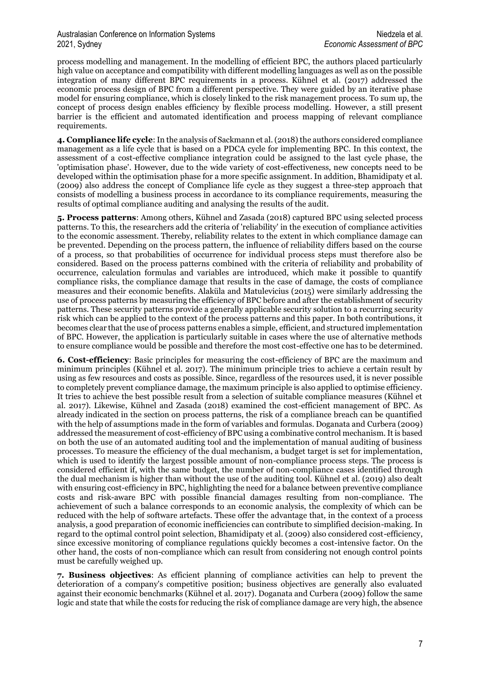process modelling and management. In the modelling of efficient BPC, the authors placed particularly high value on acceptance and compatibility with different modelling languages as well as on the possible integration of many different BPC requirements in a process. Kühnel et al. (2017) addressed the economic process design of BPC from a different perspective. They were guided by an iterative phase model for ensuring compliance, which is closely linked to the risk management process. To sum up, the concept of process design enables efficiency by flexible process modelling. However, a still present barrier is the efficient and automated identification and process mapping of relevant compliance requirements.

**4. Compliance life cycle**: In the analysis of Sackmann et al. (2018) the authors considered compliance management as a life cycle that is based on a PDCA cycle for implementing BPC. In this context, the assessment of a cost-effective compliance integration could be assigned to the last cycle phase, the 'optimisation phase'. However, due to the wide variety of cost-effectiveness, new concepts need to be developed within the optimisation phase for a more specific assignment. In addition, Bhamidipaty et al. (2009) also address the concept of Compliance life cycle as they suggest a three-step approach that consists of modelling a business process in accordance to its compliance requirements, measuring the results of optimal compliance auditing and analysing the results of the audit.

**5. Process patterns**: Among others, Kühnel and Zasada (2018) captured BPC using selected process patterns. To this, the researchers add the criteria of 'reliability' in the execution of compliance activities to the economic assessment. Thereby, reliability relates to the extent in which compliance damage can be prevented. Depending on the process pattern, the influence of reliability differs based on the course of a process, so that probabilities of occurrence for individual process steps must therefore also be considered. Based on the process patterns combined with the criteria of reliability and probability of occurrence, calculation formulas and variables are introduced, which make it possible to quantify compliance risks, the compliance damage that results in the case of damage, the costs of compliance measures and their economic benefits. Alaküla and Matulevicius (2015) were similarly addressing the use of process patterns by measuring the efficiency of BPC before and after the establishment of security patterns. These security patterns provide a generally applicable security solution to a recurring security risk which can be applied to the context of the process patterns and this paper. In both contributions, it becomes clear that the use of process patterns enables a simple, efficient, and structured implementation of BPC. However, the application is particularly suitable in cases where the use of alternative methods to ensure compliance would be possible and therefore the most cost-effective one has to be determined.

**6. Cost-efficiency**: Basic principles for measuring the cost-efficiency of BPC are the maximum and minimum principles (Kühnel et al. 2017). The minimum principle tries to achieve a certain result by using as few resources and costs as possible. Since, regardless of the resources used, it is never possible to completely prevent compliance damage, the maximum principle is also applied to optimise efficiency. It tries to achieve the best possible result from a selection of suitable compliance measures (Kühnel et al. 2017). Likewise, Kühnel and Zasada (2018) examined the cost-efficient management of BPC. As already indicated in the section on process patterns, the risk of a compliance breach can be quantified with the help of assumptions made in the form of variables and formulas. Doganata and Curbera (2009) addressed the measurement of cost-efficiency of BPC using a combinative control mechanism. It is based on both the use of an automated auditing tool and the implementation of manual auditing of business processes. To measure the efficiency of the dual mechanism, a budget target is set for implementation, which is used to identify the largest possible amount of non-compliance process steps. The process is considered efficient if, with the same budget, the number of non-compliance cases identified through the dual mechanism is higher than without the use of the auditing tool. Kühnel et al. (2019) also dealt with ensuring cost-efficiency in BPC, highlighting the need for a balance between preventive compliance costs and risk-aware BPC with possible financial damages resulting from non-compliance. The achievement of such a balance corresponds to an economic analysis, the complexity of which can be reduced with the help of software artefacts. These offer the advantage that, in the context of a process analysis, a good preparation of economic inefficiencies can contribute to simplified decision-making. In regard to the optimal control point selection, Bhamidipaty et al. (2009) also considered cost-efficiency, since excessive monitoring of compliance regulations quickly becomes a cost-intensive factor. On the other hand, the costs of non-compliance which can result from considering not enough control points must be carefully weighed up.

**7. Business objectives**: As efficient planning of compliance activities can help to prevent the deterioration of a company's competitive position; business objectives are generally also evaluated against their economic benchmarks (Kühnel et al. 2017). Doganata and Curbera (2009) follow the same logic and state that while the costs for reducing the risk of compliance damage are very high, the absence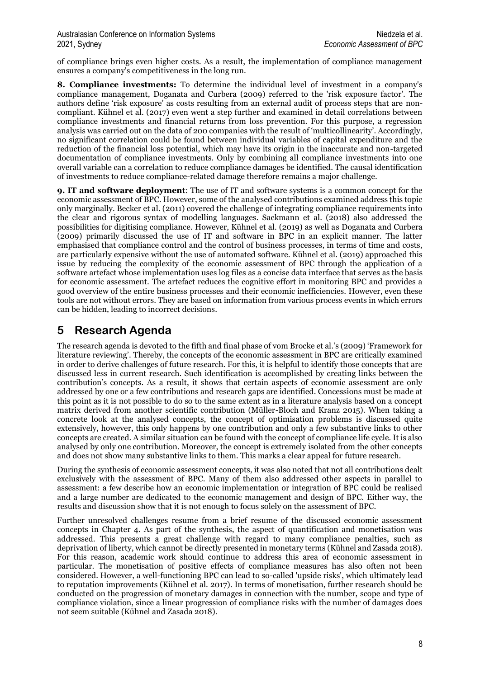of compliance brings even higher costs. As a result, the implementation of compliance management ensures a company's competitiveness in the long run.

**8. Compliance investments:** To determine the individual level of investment in a company's compliance management, Doganata and Curbera (2009) referred to the 'risk exposure factor'. The authors define 'risk exposure' as costs resulting from an external audit of process steps that are noncompliant. Kühnel et al. (2017) even went a step further and examined in detail correlations between compliance investments and financial returns from loss prevention. For this purpose, a regression analysis was carried out on the data of 200 companies with the result of 'multicollinearity'. Accordingly, no significant correlation could be found between individual variables of capital expenditure and the reduction of the financial loss potential, which may have its origin in the inaccurate and non-targeted documentation of compliance investments. Only by combining all compliance investments into one overall variable can a correlation to reduce compliance damages be identified. The causal identification of investments to reduce compliance-related damage therefore remains a major challenge.

**9. IT and software deployment**: The use of IT and software systems is a common concept for the economic assessment of BPC. However, some of the analysed contributions examined address this topic only marginally. Becker et al. (2011) covered the challenge of integrating compliance requirements into the clear and rigorous syntax of modelling languages. Sackmann et al. (2018) also addressed the possibilities for digitising compliance. However, Kühnel et al. (2019) as well as Doganata and Curbera (2009) primarily discussed the use of IT and software in BPC in an explicit manner. The latter emphasised that compliance control and the control of business processes, in terms of time and costs, are particularly expensive without the use of automated software. Kühnel et al. (2019) approached this issue by reducing the complexity of the economic assessment of BPC through the application of a software artefact whose implementation uses log files as a concise data interface that serves as the basis for economic assessment. The artefact reduces the cognitive effort in monitoring BPC and provides a good overview of the entire business processes and their economic inefficiencies. However, even these tools are not without errors. They are based on information from various process events in which errors can be hidden, leading to incorrect decisions.

### **5 Research Agenda**

The research agenda is devoted to the fifth and final phase of vom Brocke et al.'s (2009) 'Framework for literature reviewing'. Thereby, the concepts of the economic assessment in BPC are critically examined in order to derive challenges of future research. For this, it is helpful to identify those concepts that are discussed less in current research. Such identification is accomplished by creating links between the contribution's concepts. As a result, it shows that certain aspects of economic assessment are only addressed by one or a few contributions and research gaps are identified. Concessions must be made at this point as it is not possible to do so to the same extent as in a literature analysis based on a concept matrix derived from another scientific contribution (Müller-Bloch and Kranz 2015). When taking a concrete look at the analysed concepts, the concept of optimisation problems is discussed quite extensively, however, this only happens by one contribution and only a few substantive links to other concepts are created. A similar situation can be found with the concept of compliance life cycle. It is also analysed by only one contribution. Moreover, the concept is extremely isolated from the other concepts and does not show many substantive links to them. This marks a clear appeal for future research.

During the synthesis of economic assessment concepts, it was also noted that not all contributions dealt exclusively with the assessment of BPC. Many of them also addressed other aspects in parallel to assessment: a few describe how an economic implementation or integration of BPC could be realised and a large number are dedicated to the economic management and design of BPC. Either way, the results and discussion show that it is not enough to focus solely on the assessment of BPC.

Further unresolved challenges resume from a brief resume of the discussed economic assessment concepts in Chapter 4. As part of the synthesis, the aspect of quantification and monetisation was addressed. This presents a great challenge with regard to many compliance penalties, such as deprivation of liberty, which cannot be directly presented in monetary terms (Kühnel and Zasada 2018). For this reason, academic work should continue to address this area of economic assessment in particular. The monetisation of positive effects of compliance measures has also often not been considered. However, a well-functioning BPC can lead to so-called 'upside risks', which ultimately lead to reputation improvements (Kühnel et al. 2017). In terms of monetisation, further research should be conducted on the progression of monetary damages in connection with the number, scope and type of compliance violation, since a linear progression of compliance risks with the number of damages does not seem suitable (Kühnel and Zasada 2018).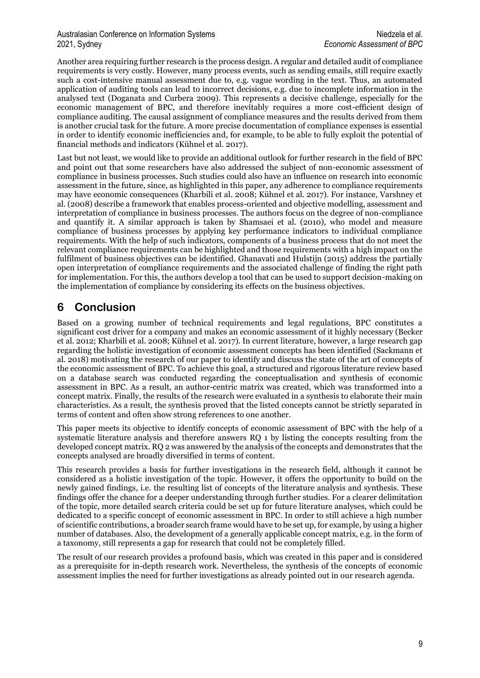#### Australasian Conference on Information Systems Niedzela et al. Niedzela et al. 2021, Sydney *Economic Assessment of BPC*

Another area requiring further research is the process design. A regular and detailed audit of compliance requirements is very costly. However, many process events, such as sending emails, still require exactly such a cost-intensive manual assessment due to, e.g. vague wording in the text. Thus, an automated application of auditing tools can lead to incorrect decisions, e.g. due to incomplete information in the analysed text (Doganata and Curbera 2009). This represents a decisive challenge, especially for the economic management of BPC, and therefore inevitably requires a more cost-efficient design of compliance auditing. The causal assignment of compliance measures and the results derived from them is another crucial task for the future. A more precise documentation of compliance expenses is essential in order to identify economic inefficiencies and, for example, to be able to fully exploit the potential of financial methods and indicators (Kühnel et al. 2017).

Last but not least, we would like to provide an additional outlook for further research in the field of BPC and point out that some researchers have also addressed the subject of non-economic assessment of compliance in business processes. Such studies could also have an influence on research into economic assessment in the future, since, as highlighted in this paper, any adherence to compliance requirements may have economic consequences (Kharbili et al. 2008; Kühnel et al. 2017). For instance, Varshney et al. (2008) describe a framework that enables process-oriented and objective modelling, assessment and interpretation of compliance in business processes. The authors focus on the degree of non-compliance and quantify it. A similar approach is taken by Shamsaei et al. (2010), who model and measure compliance of business processes by applying key performance indicators to individual compliance requirements. With the help of such indicators, components of a business process that do not meet the relevant compliance requirements can be highlighted and those requirements with a high impact on the fulfilment of business objectives can be identified. Ghanavati and Hulstijn (2015) address the partially open interpretation of compliance requirements and the associated challenge of finding the right path for implementation. For this, the authors develop a tool that can be used to support decision-making on the implementation of compliance by considering its effects on the business objectives.

### **6 Conclusion**

Based on a growing number of technical requirements and legal regulations, BPC constitutes a significant cost driver for a company and makes an economic assessment of it highly necessary (Becker et al. 2012; Kharbili et al. 2008; Kühnel et al. 2017). In current literature, however, a large research gap regarding the holistic investigation of economic assessment concepts has been identified (Sackmann et al. 2018) motivating the research of our paper to identify and discuss the state of the art of concepts of the economic assessment of BPC. To achieve this goal, a structured and rigorous literature review based on a database search was conducted regarding the conceptualisation and synthesis of economic assessment in BPC. As a result, an author-centric matrix was created, which was transformed into a concept matrix. Finally, the results of the research were evaluated in a synthesis to elaborate their main characteristics. As a result, the synthesis proved that the listed concepts cannot be strictly separated in terms of content and often show strong references to one another.

This paper meets its objective to identify concepts of economic assessment of BPC with the help of a systematic literature analysis and therefore answers RQ 1 by listing the concepts resulting from the developed concept matrix. RQ 2 was answered by the analysis of the concepts and demonstrates that the concepts analysed are broadly diversified in terms of content.

This research provides a basis for further investigations in the research field, although it cannot be considered as a holistic investigation of the topic. However, it offers the opportunity to build on the newly gained findings, i.e. the resulting list of concepts of the literature analysis and synthesis. These findings offer the chance for a deeper understanding through further studies. For a clearer delimitation of the topic, more detailed search criteria could be set up for future literature analyses, which could be dedicated to a specific concept of economic assessment in BPC. In order to still achieve a high number of scientific contributions, a broader search frame would have to be set up, for example, by using a higher number of databases. Also, the development of a generally applicable concept matrix, e.g. in the form of a taxonomy, still represents a gap for research that could not be completely filled.

The result of our research provides a profound basis, which was created in this paper and is considered as a prerequisite for in-depth research work. Nevertheless, the synthesis of the concepts of economic assessment implies the need for further investigations as already pointed out in our research agenda.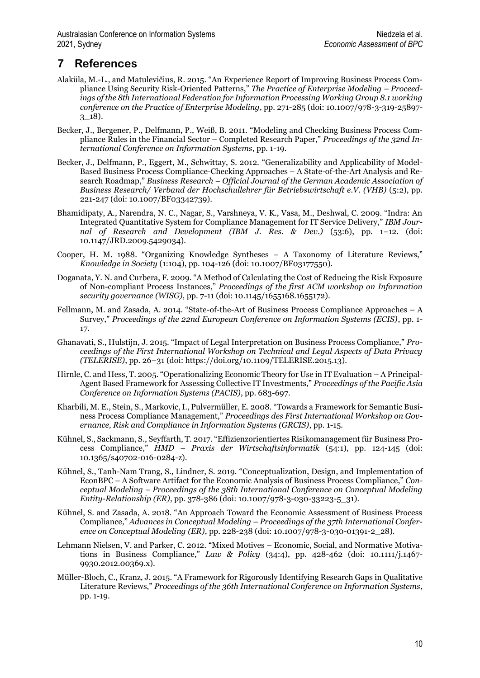## **7 References**

- Alaküla, M.-L., and Matulevičius, R. 2015. "An Experience Report of Improving Business Process Compliance Using Security Risk-Oriented Patterns," *The Practice of Enterprise Modeling – Proceedings of the 8th International Federation for Information Processing Working Group 8.1 working conference on the Practice of Enterprise Modeling*, pp. 271-285 (doi: 10.1007/978-3-319-25897-  $3\_18$ ).
- Becker, J., Bergener, P., Delfmann, P., Weiß, B. 2011. "Modeling and Checking Business Process Compliance Rules in the Financial Sector – Completed Research Paper," *Proceedings of the 32nd International Conference on Information Systems*, pp. 1-19.
- Becker, J., Delfmann, P., Eggert, M., Schwittay, S. 2012. "Generalizability and Applicability of Model-Based Business Process Compliance-Checking Approaches – A State-of-the-Art Analysis and Research Roadmap," *Business Research – Official Journal of the German Academic Association of Business Research/ Verband der Hochschullehrer für Betriebswirtschaft e.V. (VHB)* (5:2), pp. 221-247 (doi: [10.1007/BF03342739\).](https://doi.org/10.1007/BF03342739)
- Bhamidipaty, A., Narendra, N. C., Nagar, S., Varshneya, V. K., Vasa, M., Deshwal, C. 2009. "Indra: An Integrated Quantitative System for Compliance Management for IT Service Delivery," *IBM Journal of Research and Development (IBM J. Res. & Dev.)* (53:6), pp. 1–12. (doi: 10.1147/JRD.2009.5429034).
- Cooper, H. M. 1988. "Organizing Knowledge Syntheses A Taxonomy of Literature Reviews," *Knowledge in Society* (1:104), pp. 104-126 (doi[: 10.1007/BF03177550\)](https://doi.org/10.1007/BF03177550).
- Doganata, Y. N. and Curbera, F. 2009. "A Method of Calculating the Cost of Reducing the Risk Exposure of Non-compliant Process Instances," *Proceedings of the first ACM workshop on Information security governance (WISG)*, pp. 7-11 (doi: [10.1145/1655168.1655172\)](https://doi.org/10.1145/1655168.1655172).
- Fellmann, M. and Zasada, A. 2014. "State-of-the-Art of Business Process Compliance Approaches A Survey," *Proceedings of the 22nd European Conference on Information Systems (ECIS)*, pp. 1- 17.
- Ghanavati, S., Hulstijn, J. 2015. "Impact of Legal Interpretation on Business Process Compliance," *Proceedings of the First International Workshop on Technical and Legal Aspects of Data Privacy (TELERISE)*, pp. 26–31 (doi: https://doi.org/10.1109/TELERISE.2015.13).
- Hirnle, C. and Hess, T. 2005. "Operationalizing Economic Theory for Use in IT Evaluation A Principal-Agent Based Framework for Assessing Collective IT Investments," *Proceedings of the Pacific Asia Conference on Information Systems (PACIS)*, pp. 683-697.
- Kharbili, M. E., Stein, S., Markovic, I., Pulvermüller, E. 2008. "Towards a Framework for Semantic Business Process Compliance Management," *Proceedings des First International Workshop on Governance, Risk and Compliance in Information Systems (GRCIS)*, pp. 1-15.
- Kühnel, S., Sackmann, S., Seyffarth, T. 2017. "Effizienzorientiertes Risikomanagement für Business Process Compliance," *HMD – Praxis der Wirtschaftsinformatik* (54:1), pp. 124-145 (doi: [10.1365/s40702-016-0284-z\).](https://doi.org/10.1365/s40702-016-0284-z)
- Kühnel, S., Tanh-Nam Trang, S., Lindner, S. 2019. "Conceptualization, Design, and Implementation of EconBPC – A Software Artifact for the Economic Analysis of Business Process Compliance," *Conceptual Modeling – Proceedings of the 38th International Conference on Conceptual Modeling Entity-Relationship (ER)*, pp. 378-386 (doi: [10.1007/978-3-030-33223-5\\_31\)](https://doi.org/10.1007/978-3-030-33223-5_31).
- Kühnel, S. and Zasada, A. 2018. "An Approach Toward the Economic Assessment of Business Process Compliance," *Advances in Conceptual Modeling – Proceedings of the 37th International Conference on Conceptual Modeling (ER)*, pp. 228-238 (doi[: 10.1007/978-3-030-01391-2\\_28\)](https://doi.org/10.1007/978-3-030-01391-2_28).
- Lehmann Nielsen, V. and Parker, C. 2012. "Mixed Motives Economic, Social, and Normative Motivations in Business Compliance," *Law & Policy* (34:4), pp. 428-462 (doi: [10.1111/j.1467-](https://doi.org/10.1111/j.1467-9930.2012.00369.x) [9930.2012.00369.x\)](https://doi.org/10.1111/j.1467-9930.2012.00369.x).
- Müller-Bloch, C., Kranz, J. 2015. "A Framework for Rigorously Identifying Research Gaps in Qualitative Literature Reviews," *Proceedings of the 36th International Conference on Information Systems*, pp. 1-19.